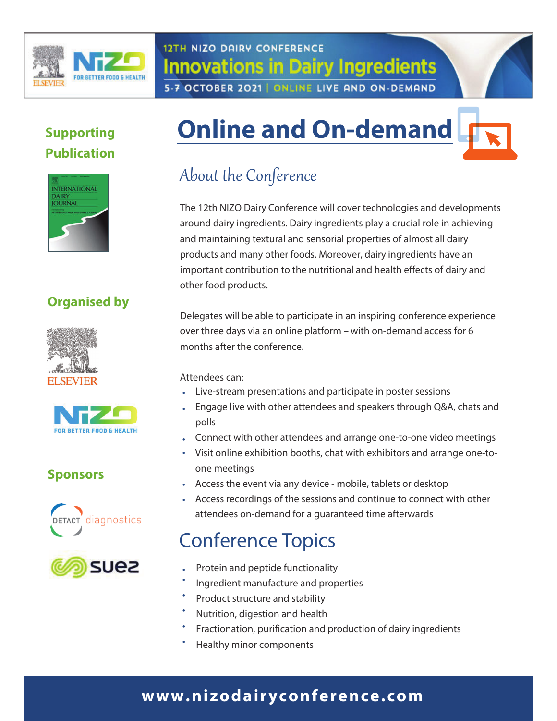

# **12TH NIZO DAIRY CONFERENCE Innovations in Dairy Ingredients** 5-7 OCTOBER 2021 | ONLINE LIVE AND ON-DEMAND

# **Supporting Publication**



# **Organised by**





# **Sponsors**





# **Online and On-demand**

# About the Conference

The 12th NIZO Dairy Conference will cover technologies and developments around dairy ingredients. Dairy ingredients play a crucial role in achieving and maintaining textural and sensorial properties of almost all dairy products and many other foods. Moreover, dairy ingredients have an important contribution to the nutritional and health effects of dairy and other food products.

Delegates will be able to participate in an inspiring conference experience over three days via an online platform - with on-demand access for 6 months after the conference.

## Attendees can:

- Live-stream presentations and participate in poster sessions
- Engage live with other attendees and speakers through Q&A, chats and  $\bullet$  . polls
- Connect with other attendees and arrange one-to-one video meetings
- Visit online exhibition booths, chat with exhibitors and arrange one-toone meetings
- Access the event via any device mobile, tablets or desktop
- Access recordings of the sessions and continue to connect with other attendees on-demand for a guaranteed time afterwards

# **Conference Topics**

- Protein and peptide functionality
- Ingredient manufacture and properties
- Product structure and stability
- Nutrition, digestion and health
- Fractionation, purification and production of dairy ingredients
- Healthy minor components

# www.nizodairyconference.com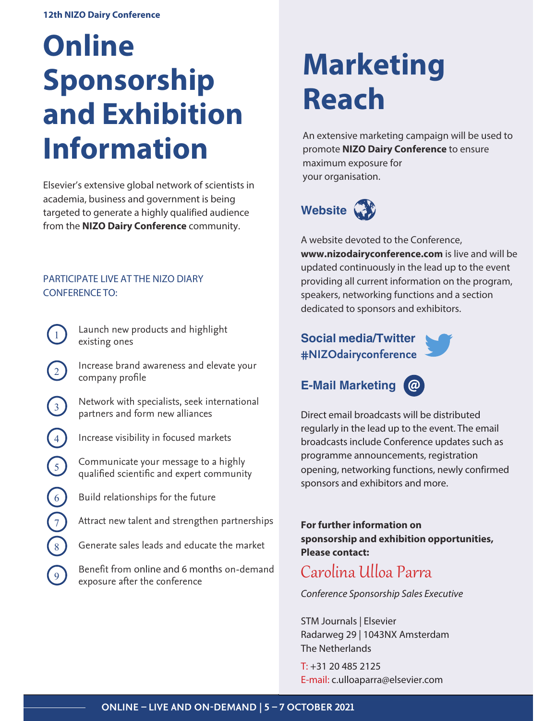# **Online Sponsorship** and Exhibition **Information**

Elsevier's extensive global network of scientists in academia, business and government is being targeted to generate a highly qualified audience from the NIZO Dairy Conference community.

## PARTICIPATE LIVE AT THE NIZO DIARY **CONFERENCE TO:**

 $\mathbf{1}$ 

 $\left(3\right)$ 

4

 $\sqrt{5}$ 

 $\begin{bmatrix} 6 \end{bmatrix}$ 

 $\sqrt{7}$ 

- Launch new products and highlight existing ones
- Increase brand awareness and elevate your company profile
- Network with specialists, seek international partners and form new alliances
- Increase visibility in focused markets
	- Communicate your message to a highly qualified scientific and expert community
- Build relationships for the future
- Attract new talent and strengthen partnerships
- Generate sales leads and educate the market
- Benefit from online and 6 months on-demand exposure after the conference

# **Marketing Reach**

An extensive marketing campaign will be used to promote NIZO Dairy Conference to ensure maximum exposure for your organisation.

Website **W** 

A website devoted to the Conference, www.nizodairyconference.com is live and will be updated continuously in the lead up to the event providing all current information on the program, speakers, networking functions and a section dedicated to sponsors and exhibitors.

## **Social media/Twitter** #NIZOdairyconference



# **E-Mail Marketing**

Direct email broadcasts will be distributed regularly in the lead up to the event. The email broadcasts include Conference updates such as programme announcements, registration opening, networking functions, newly confirmed

For further information on sponsorship and exhibition opportunities, **Please contact:** 

# Carolina Ulloa Parra

sponsors and exhibitors and more.

Conference Sponsorship Sales Executive

STM Journals | Elsevier Radarweg 29 | 1043NX Amsterdam The Netherlands

 $T: +31204852125$ E-mail: c.ulloaparra@elsevier.com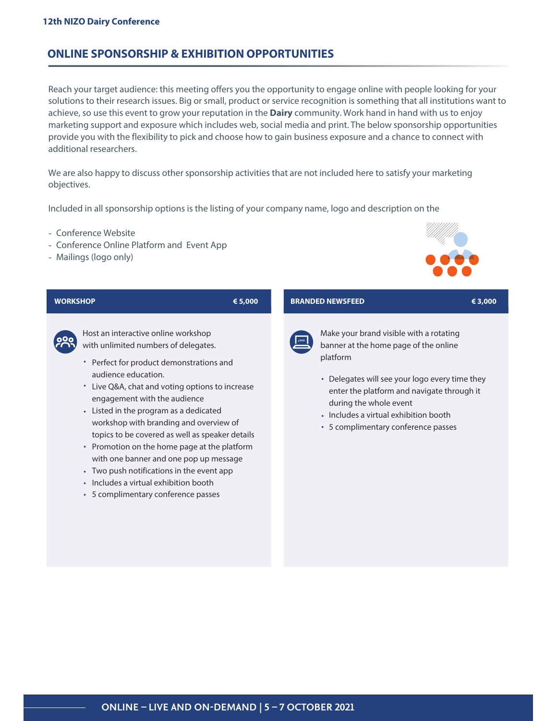## **ONLINE SPONSORSHIP & EXHIBITION OPPORTUNITIES**

Reach your target audience: this meeting offers you the opportunity to engage online with people looking for your solutions to their research issues. Big or small, product or service recognition is something that all institutions want to achieve, so use this event to grow your reputation in the **Dairy** community. Work hand in hand with us to enjoy marketing support and exposure which includes web, social media and print. The below sponsorship opportunities provide you with the flexibility to pick and choose how to gain business exposure and a chance to connect with additional researchers.

We are also happy to discuss other sponsorship activities that are not included here to satisfy your marketing objectives.

Included in all sponsorship options is the listing of your company name, logo and description on the

- Conference Website
- Conference Online Platform and Event App
- Mailings (logo only)



€ 3.000

### **WORKSHOP**

## € 5.000



Host an interactive online workshop with unlimited numbers of delegates.

- Perfect for product demonstrations and audience education.
- Live Q&A, chat and voting options to increase engagement with the audience
- Listed in the program as a dedicated workshop with branding and overview of topics to be covered as well as speaker details
- Promotion on the home page at the platform with one banner and one pop up message
- Two push notifications in the event app
- · Includes a virtual exhibition booth
- 5 complimentary conference passes

## **BRANDED NEWSFEED**



Make your brand visible with a rotating banner at the home page of the online platform

- Delegates will see your logo every time they enter the platform and navigate through it during the whole event
- Includes a virtual exhibition booth
- 5 complimentary conference passes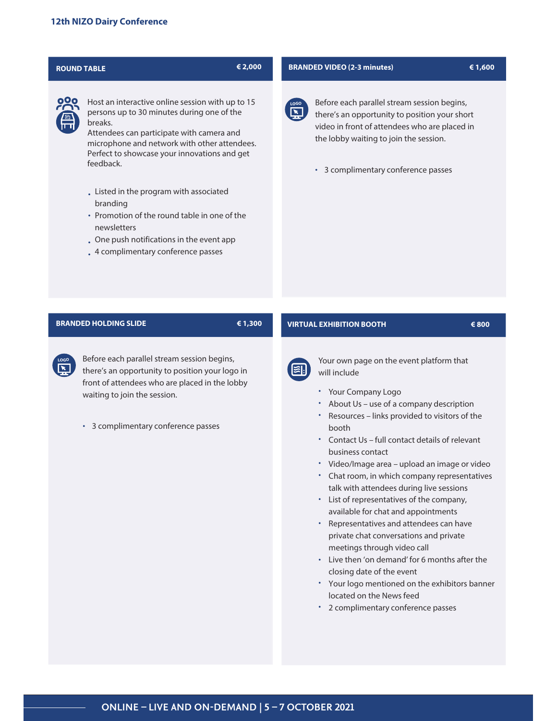## € 2,000 **ROUND TABLE** Host an interactive online session with up to 15 persons up to 30 minutes during one of the breaks. Attendees can participate with camera and microphone and network with other attendees. Perfect to showcase your innovations and get feedback.

- . Listed in the program with associated branding
- Promotion of the round table in one of the newsletters
- . One push notifications in the event app
- . 4 complimentary conference passes

#### **BRANDED VIDEO (2-3 minutes)**



Before each parallel stream session begins, there's an opportunity to position your short video in front of attendees who are placed in the lobby waiting to join the session.

€ 1,600

€ 800

• 3 complimentary conference passes

### **BRANDED HOLDING SLIDE**

#### € 1,300

Before each parallel stream session begins, there's an opportunity to position your logo in front of attendees who are placed in the lobby waiting to join the session.

• 3 complimentary conference passes

### **VIRTUAL EXHIBITION BOOTH**



Your own page on the event platform that will include

- Your Company Logo
- About Us use of a company description
- Resources links provided to visitors of the **hooth**
- \* Contact Us full contact details of relevant business contact
- · Video/Image area upload an image or video
- Chat room, in which company representatives talk with attendees during live sessions
- List of representatives of the company, available for chat and appointments
- \* Representatives and attendees can have private chat conversations and private meetings through video call
- Live then 'on demand' for 6 months after the closing date of the event
- \* Your logo mentioned on the exhibitors banner located on the News feed
- \* 2 complimentary conference passes